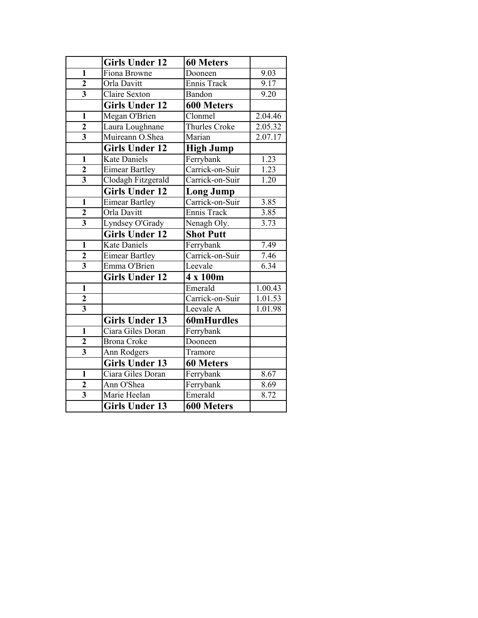|                         | <b>Girls Under 12</b> | <b>60 Meters</b>     |         |
|-------------------------|-----------------------|----------------------|---------|
| $\mathbf{1}$            | Fiona Browne          | Dooneen              | 9.03    |
| $\overline{2}$          | Orla Davitt           | Ennis Track          | 9.17    |
| $\overline{\mathbf{3}}$ | <b>Claire Sexton</b>  | Bandon               | 9.20    |
|                         | <b>Girls Under 12</b> | <b>600 Meters</b>    |         |
| $\mathbf{1}$            | Megan O'Brien         | Clonmel              | 2.04.46 |
| $\overline{2}$          | Laura Loughnane       | <b>Thurles Croke</b> | 2.05.32 |
| $\overline{\mathbf{3}}$ | Muireann O.Shea       | Marian               | 2.07.17 |
|                         | <b>Girls Under 12</b> | <b>High Jump</b>     |         |
| $\mathbf{1}$            | <b>Kate Daniels</b>   | Ferrybank            | 1.23    |
| $\overline{2}$          | <b>Eimear Bartley</b> | Carrick-on-Suir      | 1.23    |
| $\overline{\mathbf{3}}$ | Clodagh Fitzgerald    | Carrick-on-Suir      | 1.20    |
|                         | <b>Girls Under 12</b> | <b>Long Jump</b>     |         |
| $\overline{1}$          | <b>Eimear Bartley</b> | Carrick-on-Suir      | 3.85    |
| $\overline{2}$          | Orla Davitt           | Ennis Track          | 3.85    |
| $\overline{\mathbf{3}}$ | Lyndsey O'Grady       | Nenagh Oly.          | 3.73    |
|                         | <b>Girls Under 12</b> | <b>Shot Putt</b>     |         |
| $\mathbf{1}$            | <b>Kate Daniels</b>   | Ferrybank            | 7.49    |
| $\overline{2}$          | <b>Eimear Bartley</b> | Carrick-on-Suir      | 7.46    |
| $\overline{\mathbf{3}}$ | Emma O'Brien          | Leevale              | 6.34    |
|                         | <b>Girls Under 12</b> | 4 x 100m             |         |
| $\overline{1}$          |                       | Emerald              | 1.00.43 |
| $\mathbf{2}$            |                       | Carrick-on-Suir      | 1.01.53 |
| $\overline{\mathbf{3}}$ |                       | Leevale A            | 1.01.98 |
|                         | <b>Girls Under 13</b> | <b>60mHurdles</b>    |         |
| $\mathbf{1}$            | Ciara Giles Doran     | Ferrybank            |         |
| $\overline{2}$          | <b>Brona Croke</b>    | Dooneen              |         |
| $\overline{3}$          | Ann Rodgers           | Tramore              |         |
|                         | <b>Girls Under 13</b> | <b>60 Meters</b>     |         |
| $\overline{1}$          | Ciara Giles Doran     | Ferrybank            | 8.67    |
| $\mathbf 2$             | Ann O'Shea            | Ferrybank            | 8.69    |
| $\overline{3}$          | Marie Heelan          | Emerald              | 8.72    |
|                         | <b>Girls Under 13</b> | <b>600 Meters</b>    |         |